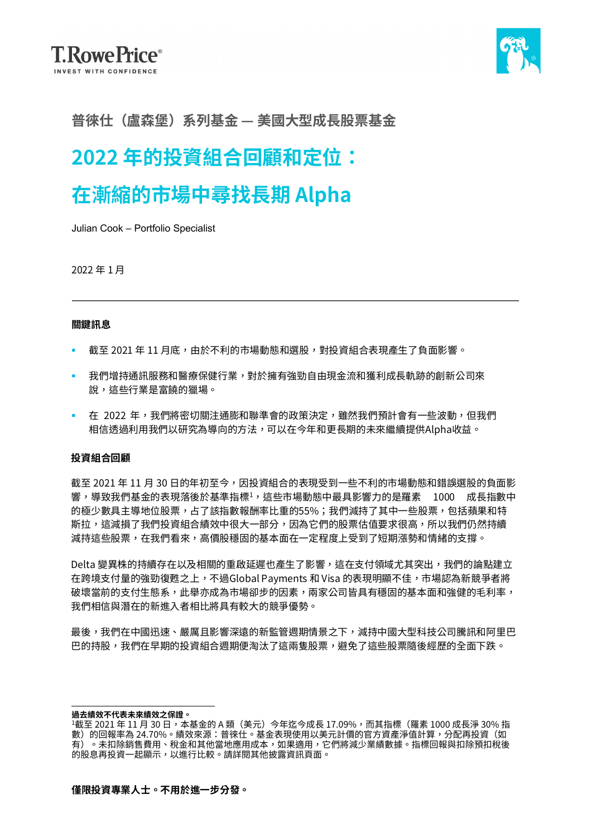

### **普徠仕(盧森堡)系列基金 — 美國大型成長股票基金**

# **2022 年的投資組合回顧和定位:**

# **在漸縮的市場中尋找長期 Alpha**

Julian Cook – Portfolio Specialist

2022 年 1 月

#### **關鍵訊息**

- 截至 2021 年 11 月底,由於不利的市場動態和選股,對投資組合表現產生了負面影響。
- 我們增持通訊服務和醫療保健行業,對於擁有強勁自由現金流和獲利成長軌跡的創新公司來 說,這些行業是富饒的獵場。
- 在 2022 年,我們將密切關注通膨和聯準會的政策決定,雖然我們預計會有一些波動,但我們 相信透過利用我們以研究為導向的方法,可以在今年和更長期的未來繼續提供Alpha收益。

### **投資組合回顧**

截至 2021 年 11 月 30 日的年初至今,因投資組合的表現受到一些不利的市場動態和錯誤選股的負面影 響,導致我們基金的表現落後於基準指標<sup>1</sup>,這些市場動態中最具影響力的是羅素 1000 成長指數中 的極少數具主導地位股票,占了該指數報酬率比重的55%;我們減持了其中一些股票,包括蘋果和特 斯拉,這減損了我們投資組合績效中很大一部分,因為它們的股票估值要求很高,所以我們仍然持續 減持這些股票,在我們看來,高價股穩固的基本面在一定程度上受到了短期漲勢和情緒的支撐。

Delta 變異株的持續存在以及相關的重啟延遲也產生了影響,這在支付領域尤其突出,我們的論點建立 在跨境支付量的強勁復甦之上,不過Global Payments 和 Visa 的表現明顯不佳,市場認為新競爭者將 破壞當前的支付生態系,此舉亦成為市場卻步的因素,兩家公司皆具有穩固的基本面和強健的毛利率, 我們相信與潛在的新進入者相比將具有較大的競爭優勢。

最後,我們在中國迅速、嚴厲且影響深遠的新監管週期情景之下,減持中國大型科技公司騰訊和阿里巴 巴的持股,我們在早期的投資組合週期便淘汰了這兩隻股票,避免了這些股票隨後經歷的全面下跌。

**過去績效不代表未來績效之保證。**

<sup>1</sup>截至 2021 年 11 月 30 日,本基金的 A 類(美元)今年迄今成長 17.09%,而其指標(羅素 1000 成長淨 30% 指 數)的回報率為 24.70%。績效來源:普徠仕。基金表現使用以美元計價的官方資產淨值計算,分配再投資(如 有)。未扣除銷售費用、稅金和其他當地應用成本,如果適用,它們將減少業績數據。指標回報與扣除預扣稅後 的股息再投資一起顯示,以進行比較。請詳閱其他披露資訊頁面。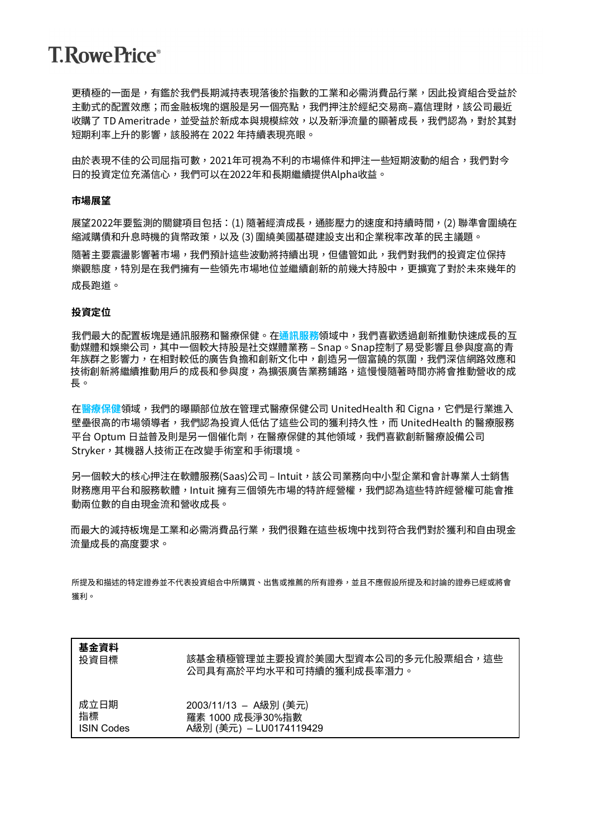## **T. Rowe Price**®

更積極的一面是,有鑑於我們長期減持表現落後於指數的工業和必需消費品行業,因此投資組合受益於 主動式的配置效應;而金融板塊的選股是另一個亮點,我們押注於經紀交易商–嘉信理財,該公司最近 收購了 TD Ameritrade,並受益於新成本與規模綜效,以及新淨流量的顯著成長,我們認為,對於其對 短期利率上升的影響,該股將在 2022 年持續表現亮眼。

由於表現不佳的公司屈指可數,2021年可視為不利的市場條件和押注一些短期波動的組合,我們對今 日的投資定位充滿信心,我們可以在2022年和長期繼續提供Alpha收益。

#### **市場展望**

展望2022年要監測的關鍵項目包括:(1) 隨著經濟成長,通膨壓力的速度和持續時間,(2) 聯準會圍繞在 縮減購債和升息時機的貨幣政策,以及 (3) 圍繞美國基礎建設支出和企業稅率改革的民主議題。

隨著主要震盪影響著市場,我們預計這些波動將持續出現,但儘管如此,我們對我們的投資定位保持 樂觀態度,特別是在我們擁有一些領先市場地位並繼續創新的前幾大持股中,更擴寬了對於未來幾年的 成長跑道。

#### **投資定位**

我們最大的配置板塊是通訊服務和醫療保健。在**通訊服務**領域中,我們喜歡透過創新推動快速成長的互 動媒體和娛樂公司,其中一個較大持股是社交媒體業務 – Snap。Snap控制了易受影響且參與度高的青 年族群之影響力,在相對較低的廣告負擔和創新文化中,創造另一個富饒的氛圍,我們深信網路效應和 技術創新將繼續推動用戶的成長和參與度,為擴張廣告業務鋪路,這慢慢隨著時間亦將會推動營收的成 長。

在**醫療保健**領域,我們的曝顯部位放在管理式醫療保健公司 UnitedHealth 和 Cigna,它們是行業進入 壁壘很高的市場領導者,我們認為投資人低估了這些公司的獲利持久性,而 UnitedHealth 的醫療服務 平台 Optum 日益普及則是另一個催化劑,在醫療保健的其他領域,我們喜歡創新醫療設備公司 Stryker,其機器人技術正在改變手術室和手術環境。

另一個較大的核心押注在軟體服務(Saas)公司 – Intuit, 該公司業務向中小型企業和會計專業人士銷售 財務應用平台和服務軟體,Intuit 擁有三個領先市場的特許經營權,我們認為這些特許經營權可能會推 動兩位數的自由現金流和營收成長。

而最大的減持板塊是工業和必需消費品行業,我們很難在這些板塊中找到符合我們對於獲利和自由現金 流量成長的高度要求。

所提及和描述的特定證券並不代表投資組合中所購買、出售或推薦的所有證券,並且不應假設所提及和討論的證券已經或將會 獲利。

| 基金資料              | 該基金積極管理並主要投資於美國大型資本公司的多元化股票組合,這些 |
|-------------------|----------------------------------|
| 投資目標              | 公司具有高於平均水平和可持續的獲利成長率潛力。          |
| 成立日期              | 2003/11/13 – A級別 (美元)            |
| 指標                | 羅素 1000 成長淨30%指數                 |
| <b>ISIN Codes</b> | A級別 (美元) - LU0174119429          |